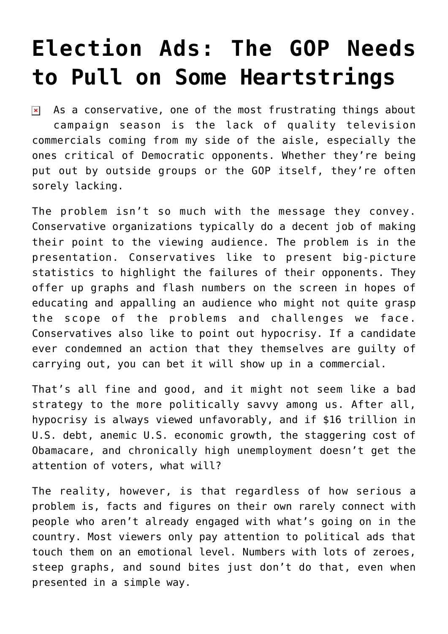## **[Election Ads: The GOP Needs](https://bernardgoldberg.com/election-ads-the-gop-needs-pull-some-heartstrings/) [to Pull on Some Heartstrings](https://bernardgoldberg.com/election-ads-the-gop-needs-pull-some-heartstrings/)**

As a conservative, one of the most frustrating things about  $\pmb{\times}$ campaign season is the lack of quality television commercials coming from my side of the aisle, especially the ones critical of Democratic opponents. Whether they're being put out by outside groups or the GOP itself, they're often sorely lacking.

The problem isn't so much with the message they convey. Conservative organizations typically do a decent job of making their point to the viewing audience. The problem is in the presentation. Conservatives like to present big-picture statistics to highlight the failures of their opponents. They offer up graphs and flash numbers on the screen in hopes of educating and appalling an audience who might not quite grasp the scope of the problems and challenges we face. Conservatives also like to point out hypocrisy. If a candidate ever condemned an action that they themselves are guilty of carrying out, you can bet it will show up in a commercial.

That's all fine and good, and it might not seem like a bad strategy to the more politically savvy among us. After all, hypocrisy is always viewed unfavorably, and if \$16 trillion in U.S. debt, anemic U.S. economic growth, the staggering cost of Obamacare, and chronically high unemployment doesn't get the attention of voters, what will?

The reality, however, is that regardless of how serious a problem is, facts and figures on their own rarely connect with people who aren't already engaged with what's going on in the country. Most viewers only pay attention to political ads that touch them on an emotional level. Numbers with lots of zeroes, steep graphs, and sound bites just don't do that, even when presented in a simple way.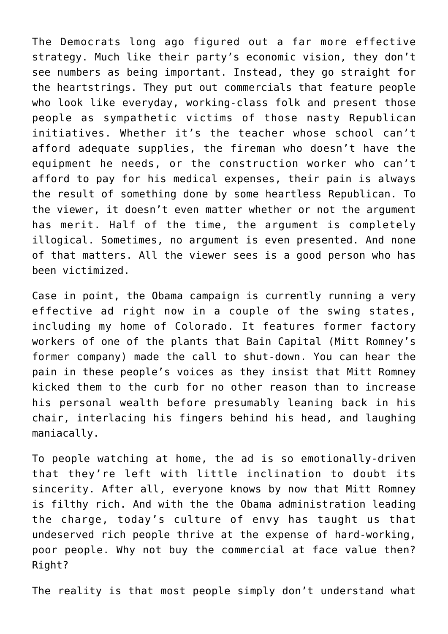The Democrats long ago figured out a far more effective strategy. Much like their party's economic vision, they don't see numbers as being important. Instead, they go straight for the heartstrings. They put out commercials that feature people who look like everyday, working-class folk and present those people as sympathetic victims of those nasty Republican initiatives. Whether it's the teacher whose school can't afford adequate supplies, the fireman who doesn't have the equipment he needs, or the construction worker who can't afford to pay for his medical expenses, their pain is always the result of something done by some heartless Republican. To the viewer, it doesn't even matter whether or not the argument has merit. Half of the time, the argument is completely illogical. Sometimes, no argument is even presented. And none of that matters. All the viewer sees is a good person who has been victimized.

Case in point, the Obama campaign is currently running a very effective ad right now in a couple of the swing states, including my home of Colorado. It features former factory workers of one of the plants that Bain Capital (Mitt Romney's former company) made the call to shut-down. You can hear the pain in these people's voices as they insist that Mitt Romney kicked them to the curb for no other reason than to increase his personal wealth before presumably leaning back in his chair, interlacing his fingers behind his head, and laughing maniacally.

To people watching at home, the ad is so emotionally-driven that they're left with little inclination to doubt its sincerity. After all, everyone knows by now that Mitt Romney is filthy rich. And with the the Obama administration leading the charge, today's culture of envy has taught us that undeserved rich people thrive at the expense of hard-working, poor people. Why not buy the commercial at face value then? Right?

The reality is that most people simply don't understand what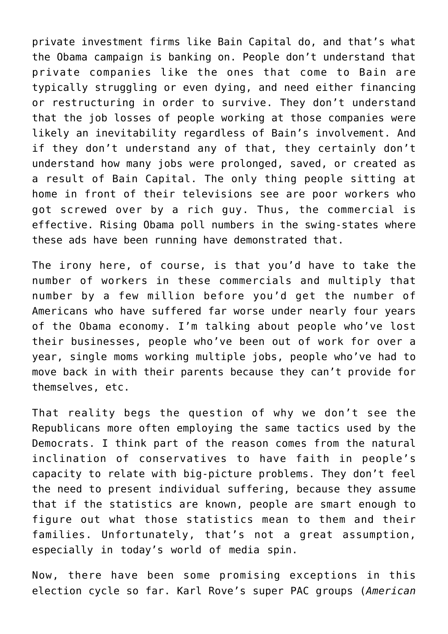private investment firms like Bain Capital do, and that's what the Obama campaign is banking on. People don't understand that private companies like the ones that come to Bain are typically struggling or even dying, and need either financing or restructuring in order to survive. They don't understand that the job losses of people working at those companies were likely an inevitability regardless of Bain's involvement. And if they don't understand any of that, they certainly don't understand how many jobs were prolonged, saved, or created as a result of Bain Capital. The only thing people sitting at home in front of their televisions see are poor workers who got screwed over by a rich guy. Thus, the commercial is effective. Rising Obama poll numbers in the swing-states where these ads have been running have demonstrated that.

The irony here, of course, is that you'd have to take the number of workers in these commercials and multiply that number by a few million before you'd get the number of Americans who have suffered far worse under nearly four years of the Obama economy. I'm talking about people who've lost their businesses, people who've been out of work for over a year, single moms working multiple jobs, people who've had to move back in with their parents because they can't provide for themselves, etc.

That reality begs the question of why we don't see the Republicans more often employing the same tactics used by the Democrats. I think part of the reason comes from the natural inclination of conservatives to have faith in people's capacity to relate with big-picture problems. They don't feel the need to present individual suffering, because they assume that if the statistics are known, people are smart enough to figure out what those statistics mean to them and their families. Unfortunately, that's not a great assumption, especially in today's world of media spin.

Now, there have been some promising exceptions in this election cycle so far. Karl Rove's super PAC groups (*American*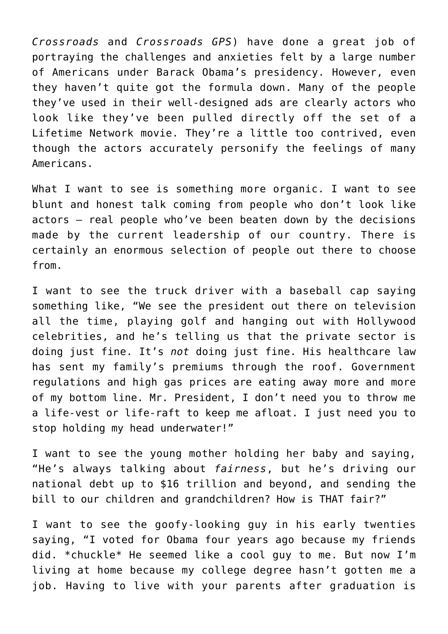*Crossroads* and *Crossroads GPS*) have done a great job of portraying the challenges and anxieties felt by a large number of Americans under Barack Obama's presidency. However, even they haven't quite got the formula down. Many of the people they've used in their well-designed ads are clearly actors who look like they've been pulled directly off the set of a Lifetime Network movie. They're a little too contrived, even though the actors accurately personify the feelings of many Americans.

What I want to see is something more organic. I want to see blunt and honest talk coming from people who don't look like actors – real people who've been beaten down by the decisions made by the current leadership of our country. There is certainly an enormous selection of people out there to choose from.

I want to see the truck driver with a baseball cap saying something like, "We see the president out there on television all the time, playing golf and hanging out with Hollywood celebrities, and he's telling us that the private sector is doing just fine. It's *not* doing just fine. His healthcare law has sent my family's premiums through the roof. Government regulations and high gas prices are eating away more and more of my bottom line. Mr. President, I don't need you to throw me a life-vest or life-raft to keep me afloat. I just need you to stop holding my head underwater!"

I want to see the young mother holding her baby and saying, "He's always talking about *fairness*, but he's driving our national debt up to \$16 trillion and beyond, and sending the bill to our children and grandchildren? How is THAT fair?"

I want to see the goofy-looking guy in his early twenties saying, "I voted for Obama four years ago because my friends did. \*chuckle\* He seemed like a cool guy to me. But now I'm living at home because my college degree hasn't gotten me a job. Having to live with your parents after graduation is